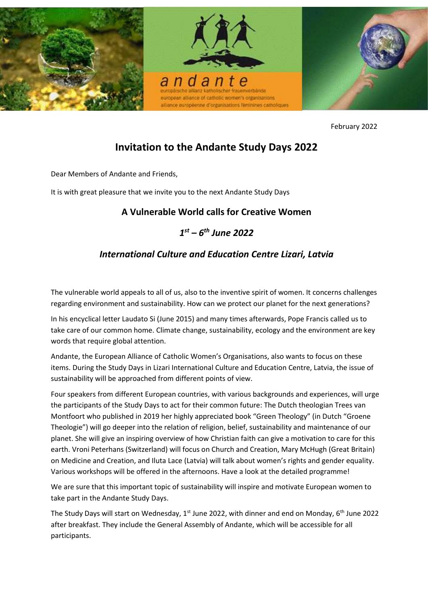

February 2022

# **Invitation to the Andante Study Days 2022**

Dear Members of Andante and Friends,

It is with great pleasure that we invite you to the next Andante Study Days

# **A Vulnerable World calls for Creative Women**

# *1 st – 6 th June 2022*

# *International Culture and Education Centre Lizari, Latvia*

The vulnerable world appeals to all of us, also to the inventive spirit of women. It concerns challenges regarding environment and sustainability. How can we protect our planet for the next generations?

In his encyclical letter Laudato Si (June 2015) and many times afterwards, Pope Francis called us to take care of our common home. Climate change, sustainability, ecology and the environment are key words that require global attention.

Andante, the European Alliance of Catholic Women's Organisations, also wants to focus on these items. During the Study Days in Lizari International Culture and Education Centre, Latvia, the issue of sustainability will be approached from different points of view.

Four speakers from different European countries, with various backgrounds and experiences, will urge the participants of the Study Days to act for their common future: The Dutch theologian Trees van Montfoort who published in 2019 her highly appreciated book "Green Theology" (in Dutch "Groene Theologie") will go deeper into the relation of religion, belief, sustainability and maintenance of our planet. She will give an inspiring overview of how Christian faith can give a motivation to care for this earth. Vroni Peterhans (Switzerland) will focus on Church and Creation, Mary McHugh (Great Britain) on Medicine and Creation, and Iluta Lace (Latvia) will talk about women's rights and gender equality. Various workshops will be offered in the afternoons. Have a look at the detailed programme!

We are sure that this important topic of sustainability will inspire and motivate European women to take part in the Andante Study Days.

The Study Days will start on Wednesday, 1<sup>st</sup> June 2022, with dinner and end on Monday, 6<sup>th</sup> June 2022 after breakfast. They include the General Assembly of Andante, which will be accessible for all participants.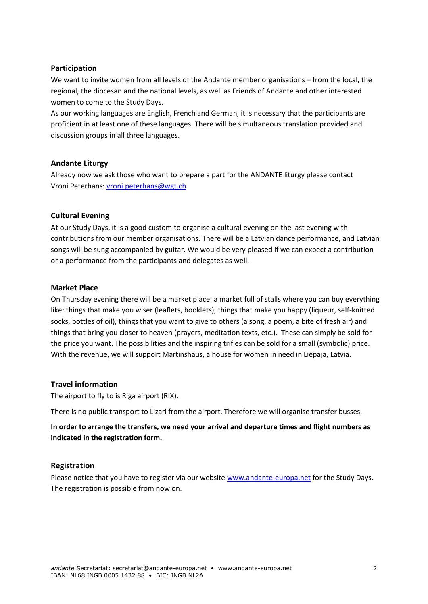#### **Participation**

We want to invite women from all levels of the Andante member organisations – from the local, the regional, the diocesan and the national levels, as well as Friends of Andante and other interested women to come to the Study Days.

As our working languages are English, French and German, it is necessary that the participants are proficient in at least one of these languages. There will be simultaneous translation provided and discussion groups in all three languages.

#### **Andante Liturgy**

Already now we ask those who want to prepare a part for the ANDANTE liturgy please contact Vroni Peterhans: [vroni.peterhans@wgt.ch](mailto:vroni.peterhans@wgt.ch)

#### **Cultural Evening**

At our Study Days, it is a good custom to organise a cultural evening on the last evening with contributions from our member organisations. There will be a Latvian dance performance, and Latvian songs will be sung accompanied by guitar. We would be very pleased if we can expect a contribution or a performance from the participants and delegates as well.

#### **Market Place**

On Thursday evening there will be a market place: a market full of stalls where you can buy everything like: things that make you wiser (leaflets, booklets), things that make you happy (liqueur, self-knitted socks, bottles of oil), things that you want to give to others (a song, a poem, a bite of fresh air) and things that bring you closer to heaven (prayers, meditation texts, etc.). These can simply be sold for the price you want. The possibilities and the inspiring trifles can be sold for a small (symbolic) price. With the revenue, we will support Martinshaus, a house for women in need in Liepaja, Latvia.

## **Travel information**

The airport to fly to is Riga airport (RIX).

There is no public transport to Lizari from the airport. Therefore we will organise transfer busses.

**In order to arrange the transfers, we need your arrival and departure times and flight numbers as indicated in the registration form.**

#### **Registration**

Please notice that you have to register via our website [www.andante-europa.net](http://www.andante-europa.net/) for the Study Days. The registration is possible from now on.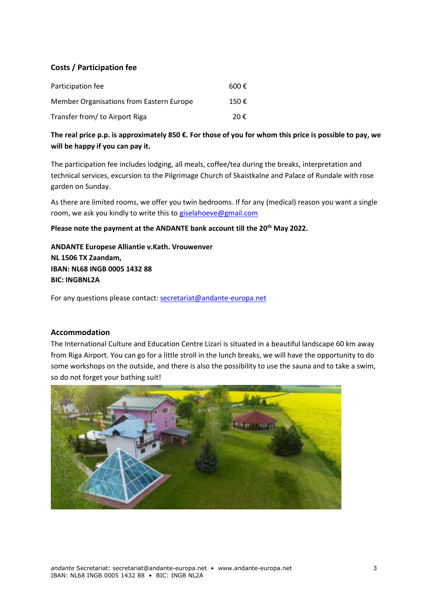## **Costs / Participation fee**

| Participation fee                        | 600 $\epsilon$ |
|------------------------------------------|----------------|
| Member Organisations from Eastern Europe | 150 €          |
| Transfer from/ to Airport Riga           | 20€            |

**The real price p.p. is approximately 850 €. For those of you for whom this price is possible to pay, we will be happy if you can pay it.** 

The participation fee includes lodging, all meals, coffee/tea during the breaks, interpretation and technical services, excursion to the Pilgrimage Church of Skaistkalne and Palace of Rundale with rose garden on Sunday.

As there are limited rooms, we offer you twin bedrooms. If for any (medical) reason you want a single room, we ask you kindly to write this to [giselahoeve@gmail.com](mailto:giselahoeve@gmail.com)

**Please note the payment at the ANDANTE bank account till the 20th May 2022.**

**ANDANTE Europese Alliantie v.Kath. Vrouwenver NL 1506 TX Zaandam, IBAN: NL68 INGB 0005 1432 88 BIC: INGBNL2A**

For any questions please contact[: secretariat@andante-europa.net](mailto:secretariat@andante-europa.net)

## **Accommodation**

The International Culture and Education Centre Lizari is situated in a beautiful landscape 60 km away from Riga Airport. You can go for a little stroll in the lunch breaks, we will have the opportunity to do some workshops on the outside, and there is also the possibility to use the sauna and to take a swim, so do not forget your bathing suit!